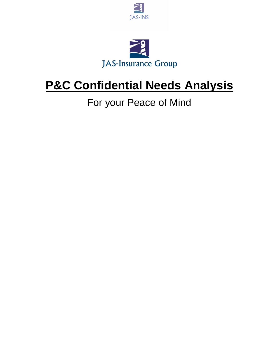



# **P&C Confidential Needs Analysis**

### For your Peace of Mind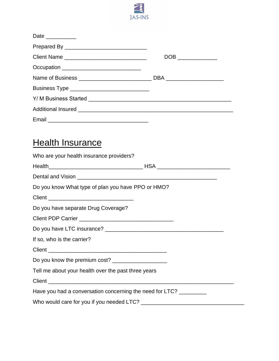

| Date $\_\_\_\_\_\_\_\_\_\_\_\_\_\_$                               |  |
|-------------------------------------------------------------------|--|
|                                                                   |  |
|                                                                   |  |
| Occupation __________________________________                     |  |
|                                                                   |  |
| Business Type ________________________________                    |  |
|                                                                   |  |
|                                                                   |  |
|                                                                   |  |
|                                                                   |  |
| <b>Health Insurance</b>                                           |  |
| Who are your health insurance providers?                          |  |
|                                                                   |  |
|                                                                   |  |
| Do you know What type of plan you have PPO or HMO?                |  |
|                                                                   |  |
| Do you have separate Drug Coverage?                               |  |
|                                                                   |  |
|                                                                   |  |
| If so, who is the carrier?                                        |  |
|                                                                   |  |
| Do you know the premium cost? ______________________              |  |
| Tell me about your health over the past three years               |  |
|                                                                   |  |
| Have you had a conversation concerning the need for LTC? ________ |  |
|                                                                   |  |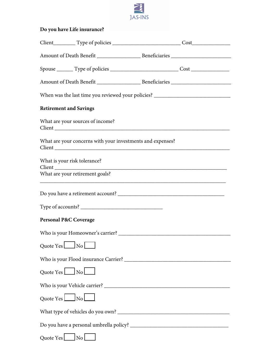

#### **Do you have Life insurance?**

|           | When was the last time you reviewed your policies? _____________________________                                           |  |
|-----------|----------------------------------------------------------------------------------------------------------------------------|--|
|           | <b>Retirement and Savings</b>                                                                                              |  |
|           | What are your sources of income?                                                                                           |  |
|           | What are your concerns with your investments and expenses?                                                                 |  |
|           | What is your risk tolerance?                                                                                               |  |
|           | What are your retirement goals?<br>,我们也不能在这里的时候,我们也不能在这里的时候,我们也不能会在这里的时候,我们也不能会在这里的时候,我们也不能会在这里的时候,我们也不能会在这里的时候,我们也        |  |
|           |                                                                                                                            |  |
|           |                                                                                                                            |  |
|           | <b>Personal P&amp;C Coverage</b>                                                                                           |  |
|           |                                                                                                                            |  |
| Quote Yes | <u>in the second community of the second community of the second community of the second community of the second</u><br>No |  |
|           |                                                                                                                            |  |
|           | Quote Yes $\boxed{\_\}$ No $\boxed{\_\}$                                                                                   |  |
|           |                                                                                                                            |  |
|           | Quote Yes $\boxed{\_\}$ No $\boxed{\_\}$                                                                                   |  |
|           |                                                                                                                            |  |
|           |                                                                                                                            |  |
| Quote Yes | No                                                                                                                         |  |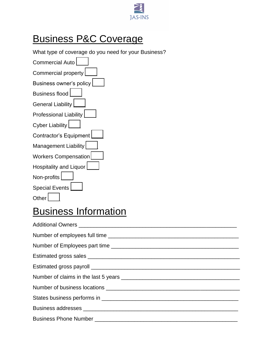

#### Business P&C Coverage

What type of coverage do you need for your Business?

| <b>Commercial Auto</b>      |
|-----------------------------|
| Commercial property         |
| Business owner's policy     |
| <b>Business flood</b>       |
| General Liability           |
| Professional Liability      |
| Cyber Liability $\lfloor$   |
| Contractor's Equipment      |
| Management Liability        |
| <b>Workers Compensation</b> |
| Hospitality and Liquor      |
| Non-profits                 |
| <b>Special Events</b>       |
| Other                       |

## Business Information

| Number of employees full time |
|-------------------------------|
|                               |
|                               |
|                               |
|                               |
|                               |
|                               |
|                               |
|                               |